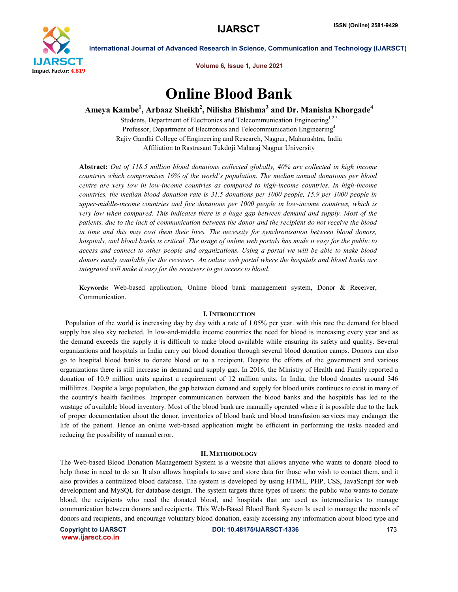

Volume 6, Issue 1, June 2021

# Online Blood Bank

Ameya Kambe $^1$ , Arbaaz Sheikh $^2$ , Nilisha Bhishma $^3$  and Dr. Manisha Khorgade $^4$ 

Students, Department of Electronics and Telecommunication Engineering<sup>1.2.3</sup> Professor, Department of Electronics and Telecommunication Engineering4 Rajiv Gandhi College of Engineering and Research, Nagpur, Maharashtra, India Affiliation to Rastrasant Tukdoji Maharaj Nagpur University

Abstract: *Out of 118.5 million blood donations collected globally, 40% are collected in high income countries which compromises 16% of the world's population. The median annual donations per blood centre are very low in low-income countries as compared to high-income countries. In high-income countries, the median blood donation rate is 31.5 donations per 1000 people, 15.9 per 1000 people in upper-middle-income countries and five donations per 1000 people in low-income countries, which is very low when compared. This indicates there is a huge gap between demand and supply. Most of the patients, due to the lack of communication between the donor and the recipient do not receive the blood in time and this may cost them their lives. The necessity for synchronisation between blood donors, hospitals, and blood banks is critical. The usage of online web portals has made it easy for the public to access and connect to other people and organizations. Using a portal we will be able to make blood donors easily available for the receivers. An online web portal where the hospitals and blood banks are integrated will make it easy for the receivers to get access to blood.*

Keywords: Web-based application, Online blood bank management system, Donor & Receiver, Communication.

#### I. INTRODUCTION

 Population of the world is increasing day by day with a rate of 1.05% per year. with this rate the demand for blood supply has also sky rocketed. In low-and-middle income countries the need for blood is increasing every year and as the demand exceeds the supply it is difficult to make blood available while ensuring its safety and quality. Several organizations and hospitals in India carry out blood donation through several blood donation camps. Donors can also go to hospital blood banks to donate blood or to a recipient. Despite the efforts of the government and various organizations there is still increase in demand and supply gap. In 2016, the Ministry of Health and Family reported a donation of 10.9 million units against a requirement of 12 million units. In India, the blood donates around 346 millilitres. Despite a large population, the gap between demand and supply for blood units continues to exist in many of the country's health facilities. Improper communication between the blood banks and the hospitals has led to the wastage of available blood inventory. Most of the blood bank are manually operated where it is possible due to the lack of proper documentation about the donor, inventories of blood bank and blood transfusion services may endanger the life of the patient. Hence an online web-based application might be efficient in performing the tasks needed and reducing the possibility of manual error.

#### II. METHODOLOGY

The Web-based Blood Donation Management System is a website that allows anyone who wants to donate blood to help those in need to do so. It also allows hospitals to save and store data for those who wish to contact them, and it also provides a centralized blood database. The system is developed by using HTML, PHP, CSS, JavaScript for web development and MySQL for database design. The system targets three types of users: the public who wants to donate blood, the recipients who need the donated blood, and hospitals that are used as intermediaries to manage communication between donors and recipients. This Web-Based Blood Bank System Is used to manage the records of donors and recipients, and encourage voluntary blood donation, easily accessing any information about blood type and

www.ijarsct.co.in

Copyright to IJARSCT **DOI: 10.48175/IJARSCT-1336** 173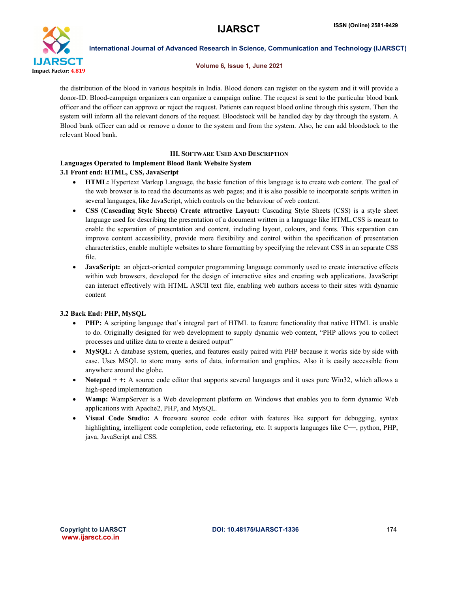

## Volume 6, Issue 1, June 2021

the distribution of the blood in various hospitals in India. Blood donors can register on the system and it will provide a donor-ID. Blood-campaign organizers can organize a campaign online. The request is sent to the particular blood bank officer and the officer can approve or reject the request. Patients can request blood online through this system. Then the system will inform all the relevant donors of the request. Bloodstock will be handled day by day through the system. A Blood bank officer can add or remove a donor to the system and from the system. Also, he can add bloodstock to the relevant blood bank.

# III. SOFTWARE USED AND DESCRIPTION

# Languages Operated to Implement Blood Bank Website System

# 3.1 Front end: HTML, CSS, JavaScript

- HTML: Hypertext Markup Language, the basic function of this language is to create web content. The goal of the web browser is to read the documents as web pages; and it is also possible to incorporate scripts written in several languages, like JavaScript, which controls on the behaviour of web content.
- CSS (Cascading Style Sheets) Create attractive Layout: Cascading Style Sheets (CSS) is a style sheet language used for describing the presentation of a document written in a language like HTML.CSS is meant to enable the separation of presentation and content, including layout, colours, and fonts. This separation can improve content accessibility, provide more flexibility and control within the specification of presentation characteristics, enable multiple websites to share formatting by specifying the relevant CSS in an separate CSS file.
- JavaScript: an object-oriented computer programming language commonly used to create interactive effects within web browsers, developed for the design of interactive sites and creating web applications. JavaScript can interact effectively with HTML ASCII text file, enabling web authors access to their sites with dynamic content

# 3.2 Back End: PHP, MySQL

- PHP: A scripting language that's integral part of HTML to feature functionality that native HTML is unable to do. Originally designed for web development to supply dynamic web content, "PHP allows you to collect processes and utilize data to create a desired output"
- MySQL: A database system, queries, and features easily paired with PHP because it works side by side with ease. Uses MSQL to store many sorts of data, information and graphics. Also it is easily accessible from anywhere around the globe.
- Notepad + +: A source code editor that supports several languages and it uses pure Win32, which allows a high-speed implementation
- Wamp: WampServer is a Web development platform on Windows that enables you to form dynamic Web applications with Apache2, PHP, and MySQL.
- Visual Code Studio: A freeware source code editor with features like support for debugging, syntax highlighting, intelligent code completion, code refactoring, etc. It supports languages like C++, python, PHP, java, JavaScript and CSS.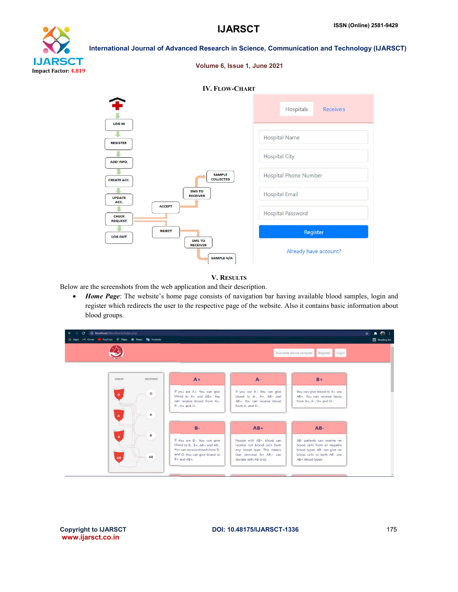

# International Journal of Advanced Research in Science, Communication and Technology (IJARSCT) **IJARSCT** Impact Factor: 4.819

|                                                 | Volume 6, Issue 1, June 2021                   |                               |
|-------------------------------------------------|------------------------------------------------|-------------------------------|
|                                                 | <b>IV. FLOW-CHART</b>                          |                               |
|                                                 |                                                | Hospitals<br><b>Receivers</b> |
| <b>LOG IN</b><br><b>REGISTER</b>                |                                                | <b>Hospital Name</b>          |
| <b>ADD INFO.</b>                                |                                                | <b>Hospital City</b>          |
| <b>CREATE ACC.</b>                              | <b>SAMPLE</b><br><b>COLLECTED</b>              | <b>Hospital Phone Number</b>  |
| <b>UPDATE</b><br>ACC.                           | <b>SMS TO</b><br><b>RECEIVER</b>               | <b>Hospital Email</b>         |
| <b>ACCEPT</b><br><b>CHECK</b><br><b>REQUEST</b> |                                                | <b>Hospital Password</b>      |
| <b>REJECT</b><br><b>LOG OUT</b>                 |                                                | Register                      |
|                                                 | <b>SMS TO</b><br><b>RECEIVER</b><br>SAMPLE N/A | Already have account?         |

# V. RESULTS

Below are the screenshots from the web application and their description.

 *Home Page*: The website's home page consists of navigation bar having available blood samples, login and register which redirects the user to the respective page of the website. Also it contains basic information about blood groups.

| <b>C</b> localhost/bloodbank/index.php<br>е<br>$\leftarrow$                                |                                                                                                                                                                                                                                                                                                                     | $\bullet$ $\bullet$<br>*                                                                                                                                    |
|--------------------------------------------------------------------------------------------|---------------------------------------------------------------------------------------------------------------------------------------------------------------------------------------------------------------------------------------------------------------------------------------------------------------------|-------------------------------------------------------------------------------------------------------------------------------------------------------------|
| <b>111 Apps M</b> Gmail <b>1.</b> YouTube <b>Q</b> Maps <b>th</b> News <b>Rg</b> Translate |                                                                                                                                                                                                                                                                                                                     | Reading list                                                                                                                                                |
|                                                                                            |                                                                                                                                                                                                                                                                                                                     | Available blood samples<br>Register<br>Login                                                                                                                |
| DONOR<br><b>RECIPIENT</b><br>$\circ$<br>$\circ$                                            | $A+$<br>$A -$<br>If you are A+: You can give<br>If you are A-: You can give<br>blood to A+ and AB+. You<br>blood to A-, A+, AB- and<br>can receive blood from A+.<br>AB+. You can receive blood<br>$A-$ , $O+$ and $O-$<br>from A- and O-                                                                           | $B +$<br>You can give blood to A+ and<br>AB+. You can receive blood<br>from $A+$ , $A-$ , $O+$ and $O-$ .                                                   |
| А<br>A<br>в<br>$\mathbf{R}$<br>AB<br><b>AB</b>                                             | $B -$<br>$AB+$<br>If you are B-: You can give<br>People with AB+ blood can<br>receive red blood cells from<br>blood to B-, B+, AB+ and AB-,<br>You can receive blood from B-<br>any blood type. This means<br>that demand for AB+ can<br>and O-.You can give blood to<br>$B +$ and $AB +$ .<br>donate with AB only. | $AB -$<br>AB- patients can receive red<br>blood cells from all negative<br>blood types. AB- can give red<br>blood cells to both AB- and<br>AB+ blood types. |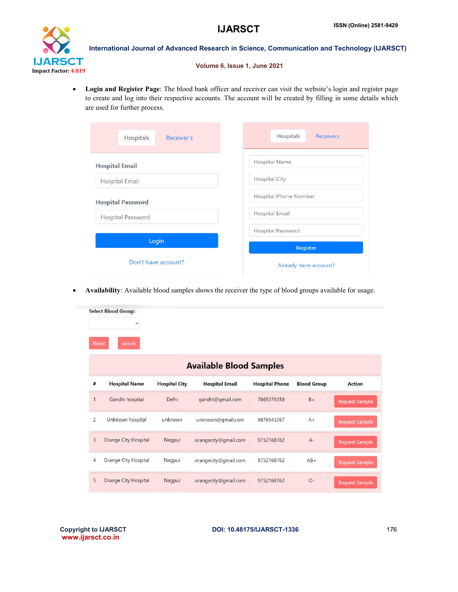

## Volume 6, Issue 1, June 2021

 Login and Register Page: The blood bank officer and receiver can visit the website's login and register page Login and Register Page: The blood bank officer and receiver can visit the website's login and register page<br>to create and log into their respective accounts. The account will be created by filling in some details which are used for further process.

|                           | ISSN (Online) 2581-9429<br><b>IJARSCT</b>                                                                                                                                                                                 |
|---------------------------|---------------------------------------------------------------------------------------------------------------------------------------------------------------------------------------------------------------------------|
|                           | <b>iternational Journal of Advanced Research in Science, Communication and Technology (IJARS)</b>                                                                                                                         |
|                           | Volume 6, Issue 1, June 2021                                                                                                                                                                                              |
| used for further process. | gin and Register Page: The blood bank officer and receiver can visit the website's login and register page<br>create and log into their respective accounts. The account will be created by filling in some details which |
| Hospitals<br>Receiver's   | Hospitals<br><b>Receivers</b>                                                                                                                                                                                             |
| <b>Hospital Email</b>     | <b>Hospital Name</b>                                                                                                                                                                                                      |
| <b>Hospital Email</b>     | <b>Hospital City</b>                                                                                                                                                                                                      |
| <b>Hospital Password</b>  | <b>Hospital Phone Number</b>                                                                                                                                                                                              |
| <b>Hospital Password</b>  | <b>Hospital Email</b>                                                                                                                                                                                                     |
| Login                     | Hospital Password                                                                                                                                                                                                         |
| Don't have account?       | Register<br>Already have account?                                                                                                                                                                                         |
|                           | ailability: Available blood samples shows the receiver the type of blood groups available for usage.                                                                                                                      |

Availability: Available blood samples shows the receiver the type of blood groups available for usage.

| Reset          | <b>Select Blood Group:</b><br>$\checkmark$<br>search |                      | <b>Available Blood Samples</b> |                       |                    |                       |
|----------------|------------------------------------------------------|----------------------|--------------------------------|-----------------------|--------------------|-----------------------|
| #              | <b>Hospital Name</b>                                 | <b>Hospital City</b> | <b>Hospital Email</b>          | <b>Hospital Phone</b> | <b>Blood Group</b> | <b>Action</b>         |
| 1              | Gandhi hospital                                      | <b>Delhi</b>         | gandhi@gmail.com               | 7865376358            | $B +$              | Request Sample        |
| $\overline{2}$ | Unknown hospital                                     | unknown              | unknown@gmail.com              | 9876543267            | $A +$              | Request Sample        |
| 3              | Orange City Hospital                                 | Nagpur               | orangecity@gmail.com           | 9752168762            | $A -$              | Request Sample        |
| 4              | <b>Orange City Hospital</b>                          | Nagpur               | orangecity@gmail.com           | 9752168762            | $AB+$              | <b>Request Sample</b> |
| 5              | Orange City Hospital                                 | Nagpur               | orangecity@gmail.com           | 9752168762            | $O -$              | <b>Request Sample</b> |

Copyright to IJARSCT www.ijarsct.co.in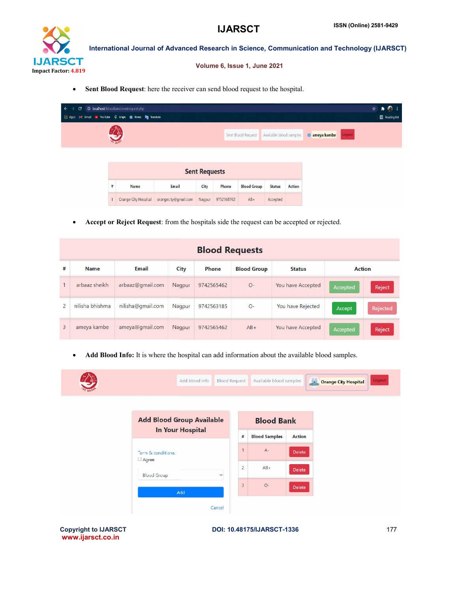

### Volume 6, Issue 1, June 2021

|                                                                                                                                                                                                                                            |                                    |                                                                                                   |        |            | <b>IJARSCT</b>               |                         |                   |                                                                                                 | <b>ISSN (Online) 2581-9429</b> |  |
|--------------------------------------------------------------------------------------------------------------------------------------------------------------------------------------------------------------------------------------------|------------------------------------|---------------------------------------------------------------------------------------------------|--------|------------|------------------------------|-------------------------|-------------------|-------------------------------------------------------------------------------------------------|--------------------------------|--|
|                                                                                                                                                                                                                                            |                                    |                                                                                                   |        |            |                              |                         |                   | International Journal of Advanced Research in Science, Communication and Technology (IJARSCT    |                                |  |
|                                                                                                                                                                                                                                            | <b>SCT</b><br>$\text{tor}$ : 4.819 |                                                                                                   |        |            | Volume 6, Issue 1, June 2021 |                         |                   |                                                                                                 |                                |  |
|                                                                                                                                                                                                                                            | $\bullet$                          | Sent Blood Request: here the receiver can send blood request to the hospital.                     |        |            |                              |                         |                   |                                                                                                 |                                |  |
| <b>III</b> Apps                                                                                                                                                                                                                            | e                                  | <sup>3</sup> localhost/bloodbank/sentrequest.php<br>M Gmail R YouTube P Maps & News Rig Translate |        |            |                              |                         |                   |                                                                                                 | ☆<br><b>Reading list</b>       |  |
|                                                                                                                                                                                                                                            |                                    |                                                                                                   |        |            | Sent Blood Request           | Available blood samples |                   | Logout<br><b>C</b> ameya kambe                                                                  |                                |  |
|                                                                                                                                                                                                                                            |                                    |                                                                                                   |        |            |                              |                         |                   |                                                                                                 |                                |  |
| <b>Sent Requests</b><br>$\#$<br>Name<br>City<br>Email<br>Phone<br><b>Blood Group</b><br><b>Status</b><br><b>Action</b><br><b>Crange City Hospital</b><br>orangecity@gmail.com<br>Nagpur<br>9752168762<br>$AB+$<br>Accepted<br>$\mathbf{1}$ |                                    |                                                                                                   |        |            |                              |                         |                   |                                                                                                 |                                |  |
|                                                                                                                                                                                                                                            |                                    |                                                                                                   |        |            |                              |                         |                   |                                                                                                 |                                |  |
|                                                                                                                                                                                                                                            |                                    |                                                                                                   |        |            |                              |                         |                   |                                                                                                 |                                |  |
|                                                                                                                                                                                                                                            |                                    | Accept or Reject Request: from the hospitals side the request can be accepted or rejected.        |        |            |                              |                         |                   |                                                                                                 |                                |  |
|                                                                                                                                                                                                                                            |                                    |                                                                                                   |        |            | <b>Blood Requests</b>        |                         |                   |                                                                                                 |                                |  |
| #                                                                                                                                                                                                                                          | <b>Name</b>                        | <b>Email</b>                                                                                      | City   | Phone      | <b>Blood Group</b>           |                         | <b>Status</b>     |                                                                                                 | <b>Action</b>                  |  |
| 1                                                                                                                                                                                                                                          | arbaaz sheikh                      | arbaaz@gmail.com                                                                                  | Nagpur | 9742565462 | $O-$                         |                         | You have Accepted | Accepted                                                                                        | Reject                         |  |
| $\overline{c}$                                                                                                                                                                                                                             | nilisha bhishma                    | nilisha@gmail.com                                                                                 | Nagpur | 9742563185 | $O -$                        |                         | You have Rejected | Accept                                                                                          | Rejected                       |  |
| 3                                                                                                                                                                                                                                          | ameya kambe                        | ameya@gmail.com                                                                                   | Nagpur | 9742565462 | $AB+$                        |                         | You have Accepted | Accepted                                                                                        | Reject                         |  |
|                                                                                                                                                                                                                                            |                                    |                                                                                                   |        |            |                              |                         |                   | Add Blood Info: It is where the hospital can add information about the available blood samples. |                                |  |

|                | <b>Blood Requests</b> |                   |        |            |                                     |                   |          |               |  |  |  |
|----------------|-----------------------|-------------------|--------|------------|-------------------------------------|-------------------|----------|---------------|--|--|--|
| #              | <b>Name</b>           | <b>Email</b>      | City   | Phone      | <b>Blood Group</b><br><b>Status</b> |                   |          | <b>Action</b> |  |  |  |
| $\mathbf{1}$   | arbaaz sheikh         | arbaaz@gmail.com  | Nagpur | 9742565462 | $O -$                               | You have Accepted | Accepted | Reject        |  |  |  |
| $\overline{2}$ | nilisha bhishma       | nilisha@gmail.com | Nagpur | 9742563185 | $O -$                               | You have Rejected | Accept   | Rejected      |  |  |  |
| $\overline{3}$ | ameya kambe           | ameya@gmail.com   | Nagpur | 9742565462 | $AB+$                               | You have Accepted | Accepted | Reject        |  |  |  |

|                                    | Add blood info                   | <b>Blood Request</b> | Available blood samples |               | <b>Orange City Hospital</b> | Logout |
|------------------------------------|----------------------------------|----------------------|-------------------------|---------------|-----------------------------|--------|
|                                    | <b>Add Blood Group Available</b> |                      | <b>Blood Bank</b>       |               |                             |        |
|                                    | <b>In Your Hospital</b>          | $\sharp$             | <b>Blood Samples</b>    | <b>Action</b> |                             |        |
| Term & conditions.<br>$\Box$ Agree |                                  | $\overline{1}$       | $A -$                   | <b>Delete</b> |                             |        |
| <b>Blood Group</b>                 | $\checkmark$                     | $\overline{2}$       | $AB +$                  | Delete        |                             |        |
|                                    | Add                              | $\overline{3}$       | $O-$                    | Delete        |                             |        |
|                                    | Cancel                           |                      |                         |               |                             |        |

Copyright to IJARSCT www.ijarsct.co.in

DOI: 10.48175/IJARSCT-1336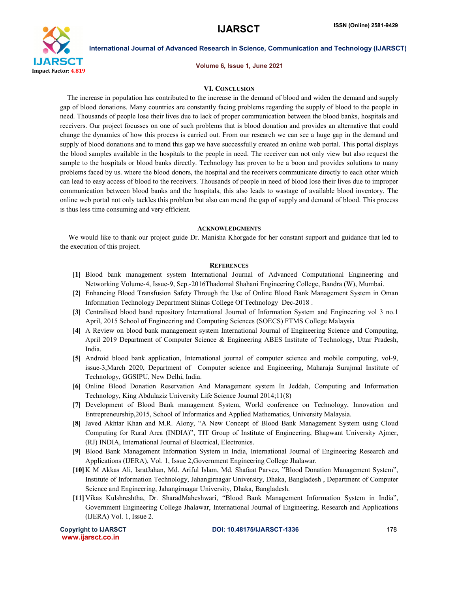

Volume 6, Issue 1, June 2021

#### VI. CONCLUSION

 The increase in population has contributed to the increase in the demand of blood and widen the demand and supply gap of blood donations. Many countries are constantly facing problems regarding the supply of blood to the people in need. Thousands of people lose their lives due to lack of proper communication between the blood banks, hospitals and receivers. Our project focusses on one of such problems that is blood donation and provides an alternative that could change the dynamics of how this process is carried out. From our research we can see a huge gap in the demand and supply of blood donations and to mend this gap we have successfully created an online web portal. This portal displays the blood samples available in the hospitals to the people in need. The receiver can not only view but also request the sample to the hospitals or blood banks directly. Technology has proven to be a boon and provides solutions to many problems faced by us. where the blood donors, the hospital and the receivers communicate directly to each other which can lead to easy access of blood to the receivers. Thousands of people in need of blood lose their lives due to improper communication between blood banks and the hospitals, this also leads to wastage of available blood inventory. The online web portal not only tackles this problem but also can mend the gap of supply and demand of blood. This process is thus less time consuming and very efficient.

#### **ACKNOWLEDGMENTS**

 We would like to thank our project guide Dr. Manisha Khorgade for her constant support and guidance that led to the execution of this project.

#### **REFERENCES**

- [1] Blood bank management system International Journal of Advanced Computational Engineering and Networking Volume-4, Issue-9, Sep.-2016Thadomal Shahani Engineering College, Bandra (W), Mumbai.
- [2] Enhancing Blood Transfusion Safety Through the Use of Online Blood Bank Management System in Oman Information Technology Department Shinas College Of Technology Dec-2018 .
- [3] Centralised blood band repository International Journal of Information System and Engineering vol 3 no.1 April, 2015 School of Engineering and Computing Sciences (SOECS) FTMS College Malaysia
- [4] A Review on blood bank management system International Journal of Engineering Science and Computing, April 2019 Department of Computer Science & Engineering ABES Institute of Technology, Uttar Pradesh, India.
- [5] Android blood bank application, International journal of computer science and mobile computing, vol-9, issue-3,March 2020, Department of Computer science and Engineering, Maharaja Surajmal Institute of Technology, GGSIPU, New Delhi, India.
- [6] Online Blood Donation Reservation And Management system In Jeddah, Computing and Information Technology, King Abdulaziz University Life Science Journal 2014;11(8)
- [7] Development of Blood Bank management System, World conference on Technology, Innovation and Entrepreneurship,2015, School of Informatics and Applied Mathematics, University Malaysia.
- [8] Javed Akhtar Khan and M.R. Alony, "A New Concept of Blood Bank Management System using Cloud Computing for Rural Area (INDIA)", TIT Group of Institute of Engineering, Bhagwant University Ajmer, (RJ) INDIA, International Journal of Electrical, Electronics.
- [9] Blood Bank Management Information System in India, International Journal of Engineering Research and Applications (IJERA), Vol. 1, Issue 2,Government Engineering College Jhalawar.
- [10] K M Akkas Ali, IsratJahan, Md. Ariful Islam, Md. Shafaat Parvez, "Blood Donation Management System", Institute of Information Technology, Jahangirnagar University, Dhaka, Bangladesh , Department of Computer Science and Engineering, Jahangirnagar University, Dhaka, Bangladesh.
- [11] Vikas Kulshreshtha, Dr. SharadMaheshwari, "Blood Bank Management Information System in India", Government Engineering College Jhalawar, International Journal of Engineering, Research and Applications (IJERA) Vol. 1, Issue 2.

www.ijarsct.co.in

Copyright to IJARSCT **DOI: 10.48175/IJARSCT-1336** 178